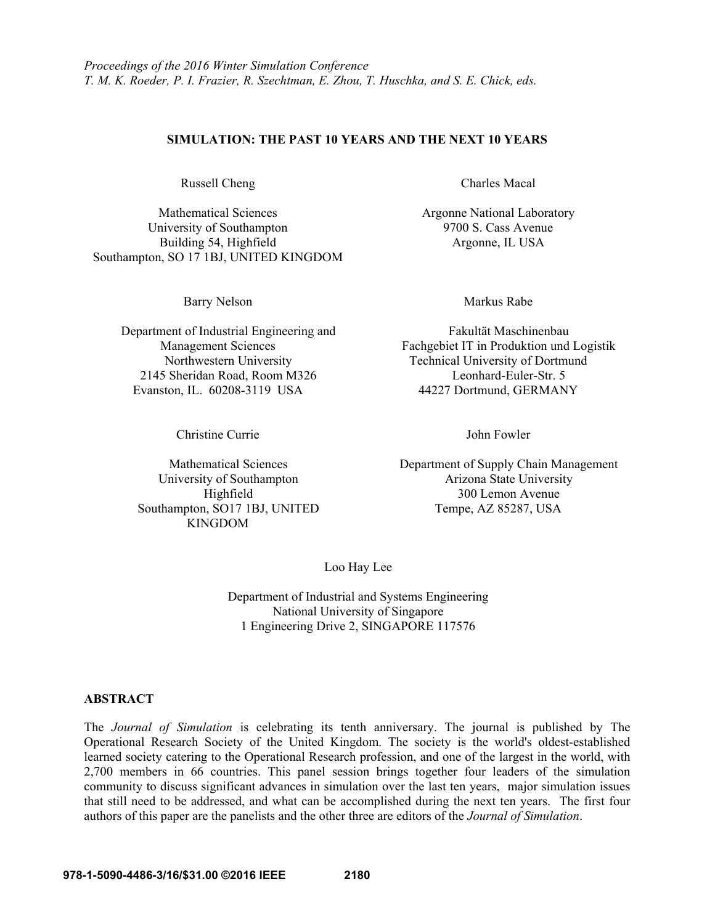### **SIMULATION: THE PAST 10 YEARS AND THE NEXT 10 YEARS**

Mathematical Sciences **Argonne National Laboratory** Argonne National Laboratory University of Southampton 9700 S. Cass Avenue Building 54, Highfield Argonne, IL USA Southampton, SO 17 1BJ, UNITED KINGDOM

Department of Industrial Engineering and Management Sciences Northwestern University 2145 Sheridan Road, Room M326 Evanston, IL. 60208-3119 USA

Christine Currie John Fowler

Mathematical Sciences University of Southampton Highfield Southampton, SO17 1BJ, UNITED KINGDOM

Russell Cheng Charles Macal

Barry Nelson Markus Rabe

Fakultät Maschinenbau Fachgebiet IT in Produktion und Logistik Technical University of Dortmund Leonhard-Euler-Str. 5 44227 Dortmund, GERMANY

Department of Supply Chain Management Arizona State University 300 Lemon Avenue Tempe, AZ 85287, USA

Loo Hay Lee

Department of Industrial and Systems Engineering National University of Singapore 1 Engineering Drive 2, SINGAPORE 117576

### **ABSTRACT**

The *Journal of Simulation* is celebrating its tenth anniversary. The journal is published by The Operational Research Society of the United Kingdom. The society is the world's oldest-established learned society catering to the Operational Research profession, and one of the largest in the world, with 2,700 members in 66 countries. This panel session brings together four leaders of the simulation community to discuss significant advances in simulation over the last ten years, major simulation issues that still need to be addressed, and what can be accomplished during the next ten years. The first four authors of this paper are the panelists and the other three are editors of the *Journal of Simulation*.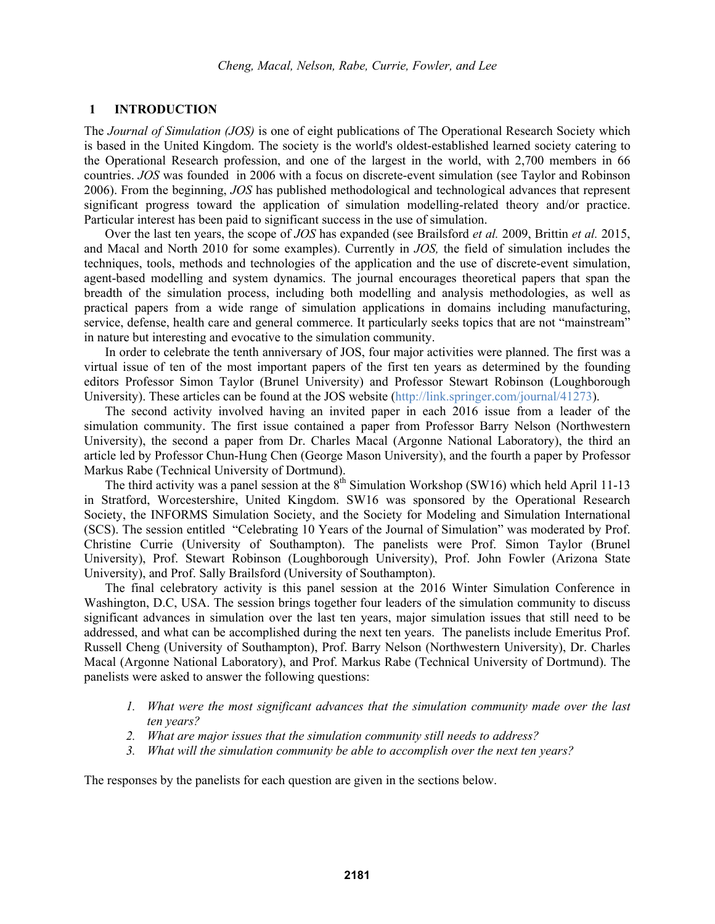# **1 INTRODUCTION**

The *Journal of Simulation (JOS)* is one of eight publications of The Operational Research Society which is based in the United Kingdom. The society is the world's oldest-established learned society catering to the Operational Research profession, and one of the largest in the world, with 2,700 members in 66 countries. *JOS* was founded in 2006 with a focus on discrete-event simulation (see Taylor and Robinson 2006). From the beginning, *JOS* has published methodological and technological advances that represent significant progress toward the application of simulation modelling-related theory and/or practice. Particular interest has been paid to significant success in the use of simulation.

 Over the last ten years, the scope of *JOS* has expanded (see Brailsford *et al.* 2009, Brittin *et al.* 2015, and Macal and North 2010 for some examples). Currently in *JOS,* the field of simulation includes the techniques, tools, methods and technologies of the application and the use of discrete-event simulation, agent-based modelling and system dynamics. The journal encourages theoretical papers that span the breadth of the simulation process, including both modelling and analysis methodologies, as well as practical papers from a wide range of simulation applications in domains including manufacturing, service, defense, health care and general commerce. It particularly seeks topics that are not "mainstream" in nature but interesting and evocative to the simulation community.

In order to celebrate the tenth anniversary of JOS, four major activities were planned. The first was a virtual issue of ten of the most important papers of the first ten years as determined by the founding editors Professor Simon Taylor (Brunel University) and Professor Stewart Robinson (Loughborough University). These articles can be found at the JOS website (http://link.springer.com/journal/41273).

The second activity involved having an invited paper in each 2016 issue from a leader of the simulation community. The first issue contained a paper from Professor Barry Nelson (Northwestern University), the second a paper from Dr. Charles Macal (Argonne National Laboratory), the third an article led by Professor Chun-Hung Chen (George Mason University), and the fourth a paper by Professor Markus Rabe (Technical University of Dortmund).

The third activity was a panel session at the  $8<sup>th</sup>$  Simulation Workshop (SW16) which held April 11-13 in Stratford, Worcestershire, United Kingdom. SW16 was sponsored by the Operational Research Society, the INFORMS Simulation Society, and the Society for Modeling and Simulation International (SCS). The session entitled "Celebrating 10 Years of the Journal of Simulation" was moderated by Prof. Christine Currie (University of Southampton). The panelists were Prof. Simon Taylor (Brunel University), Prof. Stewart Robinson (Loughborough University), Prof. John Fowler (Arizona State University), and Prof. Sally Brailsford (University of Southampton).

The final celebratory activity is this panel session at the 2016 Winter Simulation Conference in Washington, D.C, USA. The session brings together four leaders of the simulation community to discuss significant advances in simulation over the last ten years, major simulation issues that still need to be addressed, and what can be accomplished during the next ten years. The panelists include Emeritus Prof. Russell Cheng (University of Southampton), Prof. Barry Nelson (Northwestern University), Dr. Charles Macal (Argonne National Laboratory), and Prof. Markus Rabe (Technical University of Dortmund). The panelists were asked to answer the following questions:

- *1. What were the most significant advances that the simulation community made over the last ten years?*
- *2. What are major issues that the simulation community still needs to address?*
- *3. What will the simulation community be able to accomplish over the next ten years?*

The responses by the panelists for each question are given in the sections below.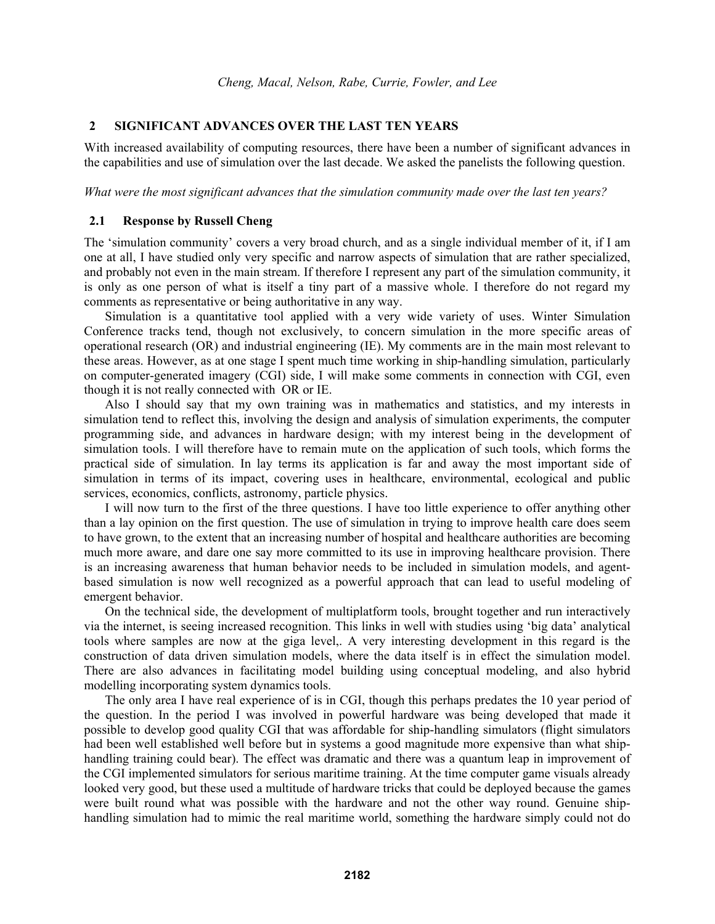## **2 SIGNIFICANT ADVANCES OVER THE LAST TEN YEARS**

With increased availability of computing resources, there have been a number of significant advances in the capabilities and use of simulation over the last decade. We asked the panelists the following question.

*What were the most significant advances that the simulation community made over the last ten years?* 

#### **2.1 Response by Russell Cheng**

The 'simulation community' covers a very broad church, and as a single individual member of it, if I am one at all, I have studied only very specific and narrow aspects of simulation that are rather specialized, and probably not even in the main stream. If therefore I represent any part of the simulation community, it is only as one person of what is itself a tiny part of a massive whole. I therefore do not regard my comments as representative or being authoritative in any way.

 Simulation is a quantitative tool applied with a very wide variety of uses. Winter Simulation Conference tracks tend, though not exclusively, to concern simulation in the more specific areas of operational research (OR) and industrial engineering (IE). My comments are in the main most relevant to these areas. However, as at one stage I spent much time working in ship-handling simulation, particularly on computer-generated imagery (CGI) side, I will make some comments in connection with CGI, even though it is not really connected with OR or IE.

 Also I should say that my own training was in mathematics and statistics, and my interests in simulation tend to reflect this, involving the design and analysis of simulation experiments, the computer programming side, and advances in hardware design; with my interest being in the development of simulation tools. I will therefore have to remain mute on the application of such tools, which forms the practical side of simulation. In lay terms its application is far and away the most important side of simulation in terms of its impact, covering uses in healthcare, environmental, ecological and public services, economics, conflicts, astronomy, particle physics.

 I will now turn to the first of the three questions. I have too little experience to offer anything other than a lay opinion on the first question. The use of simulation in trying to improve health care does seem to have grown, to the extent that an increasing number of hospital and healthcare authorities are becoming much more aware, and dare one say more committed to its use in improving healthcare provision. There is an increasing awareness that human behavior needs to be included in simulation models, and agentbased simulation is now well recognized as a powerful approach that can lead to useful modeling of emergent behavior.

 On the technical side, the development of multiplatform tools, brought together and run interactively via the internet, is seeing increased recognition. This links in well with studies using 'big data' analytical tools where samples are now at the giga level,. A very interesting development in this regard is the construction of data driven simulation models, where the data itself is in effect the simulation model. There are also advances in facilitating model building using conceptual modeling, and also hybrid modelling incorporating system dynamics tools.

 The only area I have real experience of is in CGI, though this perhaps predates the 10 year period of the question. In the period I was involved in powerful hardware was being developed that made it possible to develop good quality CGI that was affordable for ship-handling simulators (flight simulators had been well established well before but in systems a good magnitude more expensive than what shiphandling training could bear). The effect was dramatic and there was a quantum leap in improvement of the CGI implemented simulators for serious maritime training. At the time computer game visuals already looked very good, but these used a multitude of hardware tricks that could be deployed because the games were built round what was possible with the hardware and not the other way round. Genuine shiphandling simulation had to mimic the real maritime world, something the hardware simply could not do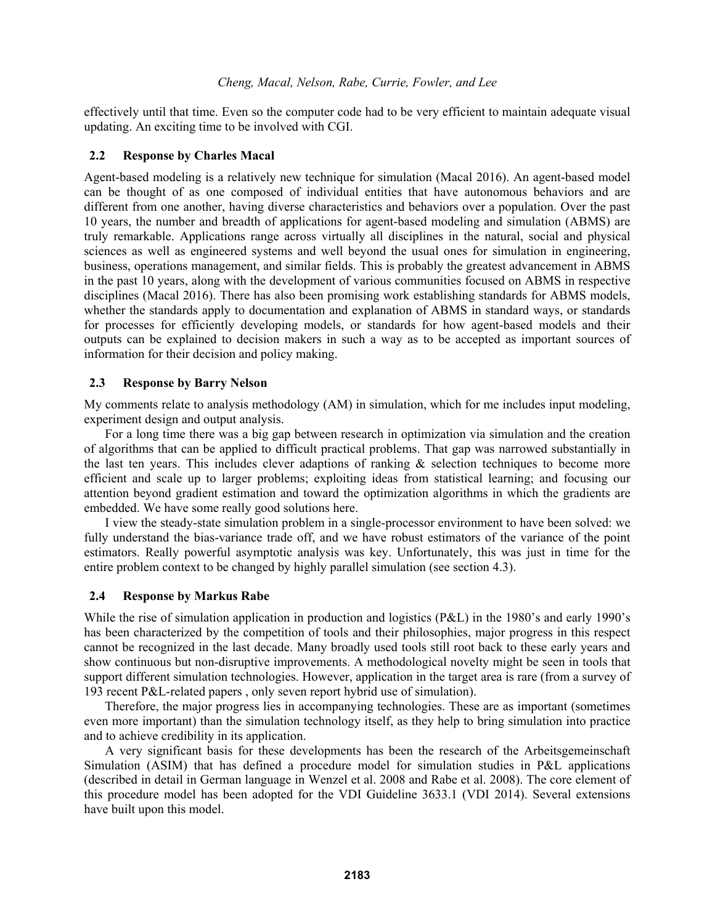effectively until that time. Even so the computer code had to be very efficient to maintain adequate visual updating. An exciting time to be involved with CGI.

## **2.2 Response by Charles Macal**

Agent-based modeling is a relatively new technique for simulation (Macal 2016). An agent-based model can be thought of as one composed of individual entities that have autonomous behaviors and are different from one another, having diverse characteristics and behaviors over a population. Over the past 10 years, the number and breadth of applications for agent-based modeling and simulation (ABMS) are truly remarkable. Applications range across virtually all disciplines in the natural, social and physical sciences as well as engineered systems and well beyond the usual ones for simulation in engineering, business, operations management, and similar fields. This is probably the greatest advancement in ABMS in the past 10 years, along with the development of various communities focused on ABMS in respective disciplines (Macal 2016). There has also been promising work establishing standards for ABMS models, whether the standards apply to documentation and explanation of ABMS in standard ways, or standards for processes for efficiently developing models, or standards for how agent-based models and their outputs can be explained to decision makers in such a way as to be accepted as important sources of information for their decision and policy making.

## **2.3 Response by Barry Nelson**

My comments relate to analysis methodology (AM) in simulation, which for me includes input modeling, experiment design and output analysis.

For a long time there was a big gap between research in optimization via simulation and the creation of algorithms that can be applied to difficult practical problems. That gap was narrowed substantially in the last ten years. This includes clever adaptions of ranking  $\&$  selection techniques to become more efficient and scale up to larger problems; exploiting ideas from statistical learning; and focusing our attention beyond gradient estimation and toward the optimization algorithms in which the gradients are embedded. We have some really good solutions here.

I view the steady-state simulation problem in a single-processor environment to have been solved: we fully understand the bias-variance trade off, and we have robust estimators of the variance of the point estimators. Really powerful asymptotic analysis was key. Unfortunately, this was just in time for the entire problem context to be changed by highly parallel simulation (see section 4.3).

# **2.4 Response by Markus Rabe**

While the rise of simulation application in production and logistics (P&L) in the 1980's and early 1990's has been characterized by the competition of tools and their philosophies, major progress in this respect cannot be recognized in the last decade. Many broadly used tools still root back to these early years and show continuous but non-disruptive improvements. A methodological novelty might be seen in tools that support different simulation technologies. However, application in the target area is rare (from a survey of 193 recent P&L-related papers , only seven report hybrid use of simulation).

Therefore, the major progress lies in accompanying technologies. These are as important (sometimes even more important) than the simulation technology itself, as they help to bring simulation into practice and to achieve credibility in its application.

A very significant basis for these developments has been the research of the Arbeitsgemeinschaft Simulation (ASIM) that has defined a procedure model for simulation studies in P&L applications (described in detail in German language in Wenzel et al. 2008 and Rabe et al. 2008). The core element of this procedure model has been adopted for the VDI Guideline 3633.1 (VDI 2014). Several extensions have built upon this model.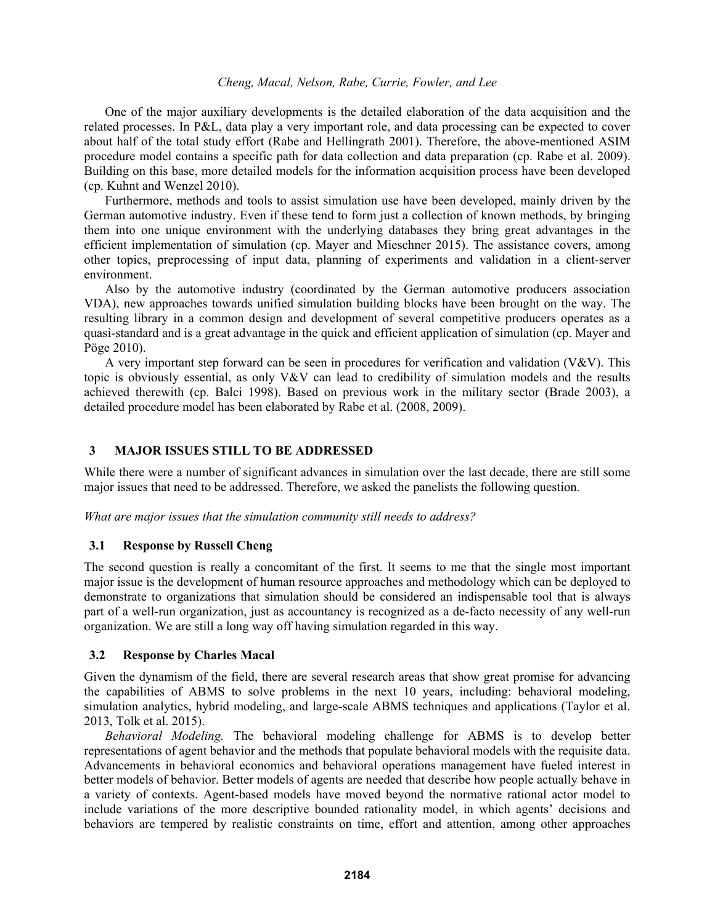#### *Cheng, Macal, Nelson, Rabe, Currie, Fowler, and Lee*

One of the major auxiliary developments is the detailed elaboration of the data acquisition and the related processes. In P&L, data play a very important role, and data processing can be expected to cover about half of the total study effort (Rabe and Hellingrath 2001). Therefore, the above-mentioned ASIM procedure model contains a specific path for data collection and data preparation (cp. Rabe et al. 2009). Building on this base, more detailed models for the information acquisition process have been developed (cp. Kuhnt and Wenzel 2010).

Furthermore, methods and tools to assist simulation use have been developed, mainly driven by the German automotive industry. Even if these tend to form just a collection of known methods, by bringing them into one unique environment with the underlying databases they bring great advantages in the efficient implementation of simulation (cp. Mayer and Mieschner 2015). The assistance covers, among other topics, preprocessing of input data, planning of experiments and validation in a client-server environment.

Also by the automotive industry (coordinated by the German automotive producers association VDA), new approaches towards unified simulation building blocks have been brought on the way. The resulting library in a common design and development of several competitive producers operates as a quasi-standard and is a great advantage in the quick and efficient application of simulation (cp. Mayer and Pöge 2010).

A very important step forward can be seen in procedures for verification and validation (V&V). This topic is obviously essential, as only V&V can lead to credibility of simulation models and the results achieved therewith (cp. Balci 1998). Based on previous work in the military sector (Brade 2003), a detailed procedure model has been elaborated by Rabe et al. (2008, 2009).

## **3 MAJOR ISSUES STILL TO BE ADDRESSED**

While there were a number of significant advances in simulation over the last decade, there are still some major issues that need to be addressed. Therefore, we asked the panelists the following question.

*What are major issues that the simulation community still needs to address?* 

### **3.1 Response by Russell Cheng**

The second question is really a concomitant of the first. It seems to me that the single most important major issue is the development of human resource approaches and methodology which can be deployed to demonstrate to organizations that simulation should be considered an indispensable tool that is always part of a well-run organization, just as accountancy is recognized as a de-facto necessity of any well-run organization. We are still a long way off having simulation regarded in this way.

### **3.2 Response by Charles Macal**

Given the dynamism of the field, there are several research areas that show great promise for advancing the capabilities of ABMS to solve problems in the next 10 years, including: behavioral modeling, simulation analytics, hybrid modeling, and large-scale ABMS techniques and applications (Taylor et al. 2013, Tolk et al. 2015).

*Behavioral Modeling.* The behavioral modeling challenge for ABMS is to develop better representations of agent behavior and the methods that populate behavioral models with the requisite data. Advancements in behavioral economics and behavioral operations management have fueled interest in better models of behavior. Better models of agents are needed that describe how people actually behave in a variety of contexts. Agent-based models have moved beyond the normative rational actor model to include variations of the more descriptive bounded rationality model, in which agents' decisions and behaviors are tempered by realistic constraints on time, effort and attention, among other approaches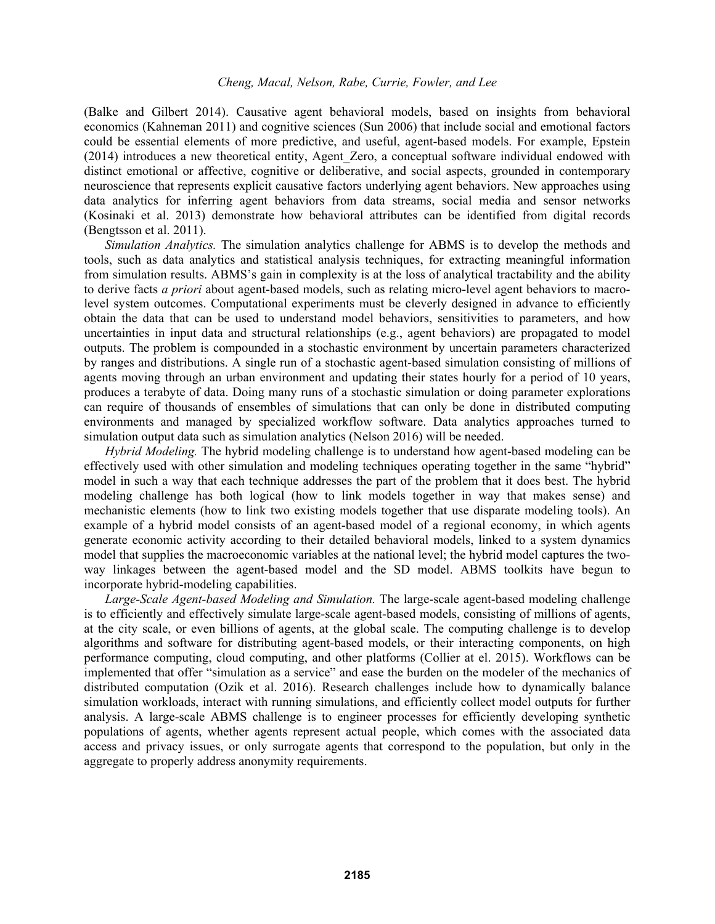#### *Cheng, Macal, Nelson, Rabe, Currie, Fowler, and Lee*

(Balke and Gilbert 2014). Causative agent behavioral models, based on insights from behavioral economics (Kahneman 2011) and cognitive sciences (Sun 2006) that include social and emotional factors could be essential elements of more predictive, and useful, agent-based models. For example, Epstein (2014) introduces a new theoretical entity, Agent\_Zero, a conceptual software individual endowed with distinct emotional or affective, cognitive or deliberative, and social aspects, grounded in contemporary neuroscience that represents explicit causative factors underlying agent behaviors. New approaches using data analytics for inferring agent behaviors from data streams, social media and sensor networks (Kosinaki et al. 2013) demonstrate how behavioral attributes can be identified from digital records (Bengtsson et al. 2011).

*Simulation Analytics.* The simulation analytics challenge for ABMS is to develop the methods and tools, such as data analytics and statistical analysis techniques, for extracting meaningful information from simulation results. ABMS's gain in complexity is at the loss of analytical tractability and the ability to derive facts *a priori* about agent-based models, such as relating micro-level agent behaviors to macrolevel system outcomes. Computational experiments must be cleverly designed in advance to efficiently obtain the data that can be used to understand model behaviors, sensitivities to parameters, and how uncertainties in input data and structural relationships (e.g., agent behaviors) are propagated to model outputs. The problem is compounded in a stochastic environment by uncertain parameters characterized by ranges and distributions. A single run of a stochastic agent-based simulation consisting of millions of agents moving through an urban environment and updating their states hourly for a period of 10 years, produces a terabyte of data. Doing many runs of a stochastic simulation or doing parameter explorations can require of thousands of ensembles of simulations that can only be done in distributed computing environments and managed by specialized workflow software. Data analytics approaches turned to simulation output data such as simulation analytics (Nelson 2016) will be needed.

*Hybrid Modeling.* The hybrid modeling challenge is to understand how agent-based modeling can be effectively used with other simulation and modeling techniques operating together in the same "hybrid" model in such a way that each technique addresses the part of the problem that it does best. The hybrid modeling challenge has both logical (how to link models together in way that makes sense) and mechanistic elements (how to link two existing models together that use disparate modeling tools). An example of a hybrid model consists of an agent-based model of a regional economy, in which agents generate economic activity according to their detailed behavioral models, linked to a system dynamics model that supplies the macroeconomic variables at the national level; the hybrid model captures the twoway linkages between the agent-based model and the SD model. ABMS toolkits have begun to incorporate hybrid-modeling capabilities.

*Large-Scale Agent-based Modeling and Simulation.* The large-scale agent-based modeling challenge is to efficiently and effectively simulate large-scale agent-based models, consisting of millions of agents, at the city scale, or even billions of agents, at the global scale. The computing challenge is to develop algorithms and software for distributing agent-based models, or their interacting components, on high performance computing, cloud computing, and other platforms (Collier at el. 2015). Workflows can be implemented that offer "simulation as a service" and ease the burden on the modeler of the mechanics of distributed computation (Ozik et al. 2016). Research challenges include how to dynamically balance simulation workloads, interact with running simulations, and efficiently collect model outputs for further analysis. A large-scale ABMS challenge is to engineer processes for efficiently developing synthetic populations of agents, whether agents represent actual people, which comes with the associated data access and privacy issues, or only surrogate agents that correspond to the population, but only in the aggregate to properly address anonymity requirements.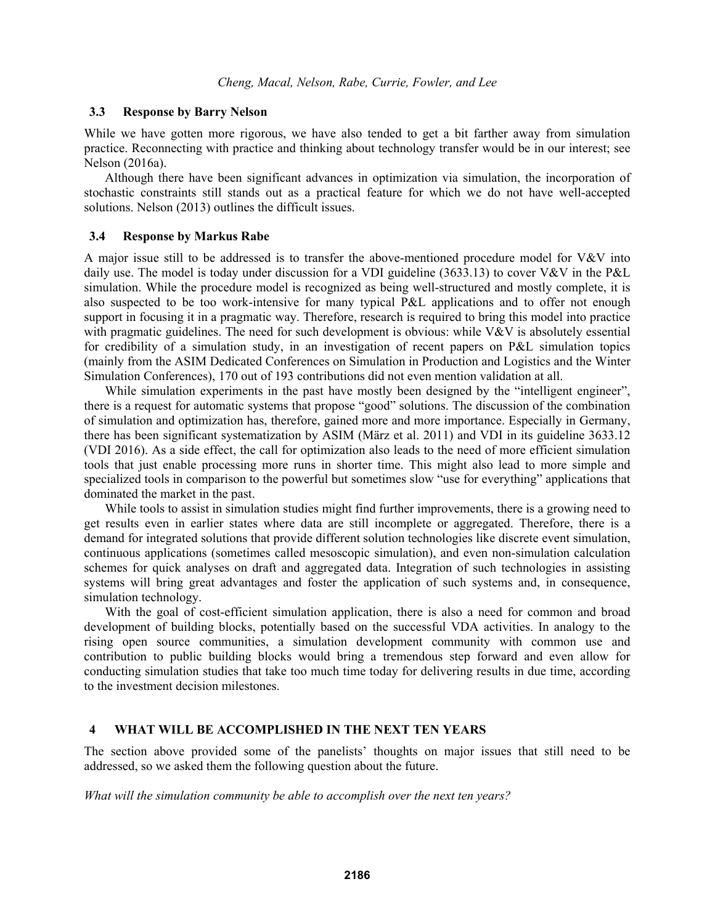#### **3.3 Response by Barry Nelson**

While we have gotten more rigorous, we have also tended to get a bit farther away from simulation practice. Reconnecting with practice and thinking about technology transfer would be in our interest; see Nelson (2016a).

 Although there have been significant advances in optimization via simulation, the incorporation of stochastic constraints still stands out as a practical feature for which we do not have well-accepted solutions. Nelson (2013) outlines the difficult issues.

#### **3.4 Response by Markus Rabe**

A major issue still to be addressed is to transfer the above-mentioned procedure model for V&V into daily use. The model is today under discussion for a VDI guideline (3633.13) to cover V&V in the P&L simulation. While the procedure model is recognized as being well-structured and mostly complete, it is also suspected to be too work-intensive for many typical P&L applications and to offer not enough support in focusing it in a pragmatic way. Therefore, research is required to bring this model into practice with pragmatic guidelines. The need for such development is obvious: while V&V is absolutely essential for credibility of a simulation study, in an investigation of recent papers on P&L simulation topics (mainly from the ASIM Dedicated Conferences on Simulation in Production and Logistics and the Winter Simulation Conferences), 170 out of 193 contributions did not even mention validation at all.

While simulation experiments in the past have mostly been designed by the "intelligent engineer", there is a request for automatic systems that propose "good" solutions. The discussion of the combination of simulation and optimization has, therefore, gained more and more importance. Especially in Germany, there has been significant systematization by ASIM (März et al. 2011) and VDI in its guideline 3633.12 (VDI 2016). As a side effect, the call for optimization also leads to the need of more efficient simulation tools that just enable processing more runs in shorter time. This might also lead to more simple and specialized tools in comparison to the powerful but sometimes slow "use for everything" applications that dominated the market in the past.

While tools to assist in simulation studies might find further improvements, there is a growing need to get results even in earlier states where data are still incomplete or aggregated. Therefore, there is a demand for integrated solutions that provide different solution technologies like discrete event simulation, continuous applications (sometimes called mesoscopic simulation), and even non-simulation calculation schemes for quick analyses on draft and aggregated data. Integration of such technologies in assisting systems will bring great advantages and foster the application of such systems and, in consequence, simulation technology.

With the goal of cost-efficient simulation application, there is also a need for common and broad development of building blocks, potentially based on the successful VDA activities. In analogy to the rising open source communities, a simulation development community with common use and contribution to public building blocks would bring a tremendous step forward and even allow for conducting simulation studies that take too much time today for delivering results in due time, according to the investment decision milestones.

### **4 WHAT WILL BE ACCOMPLISHED IN THE NEXT TEN YEARS**

The section above provided some of the panelists' thoughts on major issues that still need to be addressed, so we asked them the following question about the future.

*What will the simulation community be able to accomplish over the next ten years?*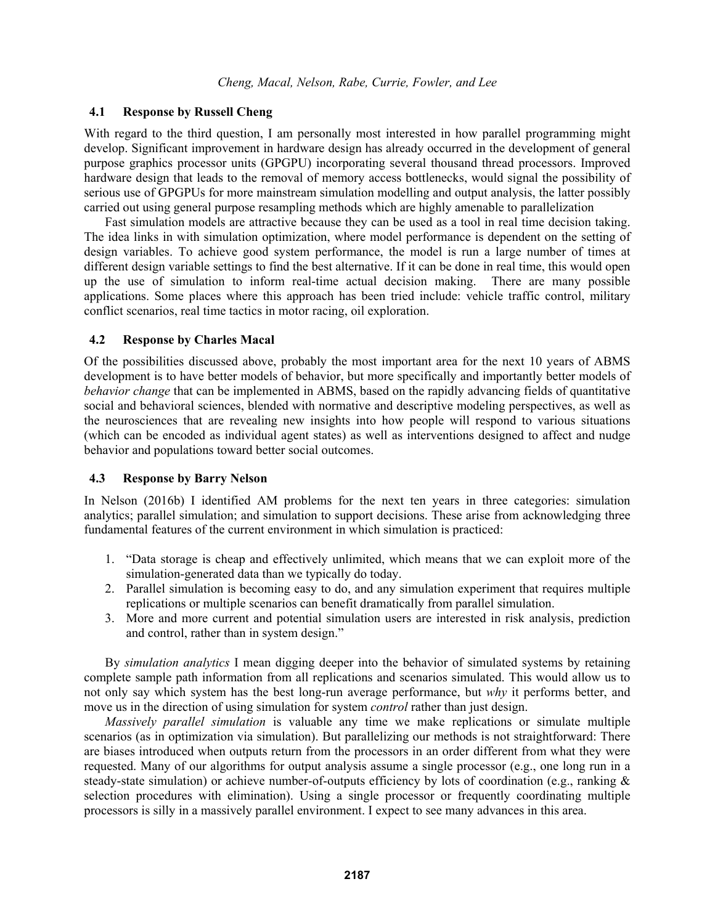# **4.1 Response by Russell Cheng**

With regard to the third question, I am personally most interested in how parallel programming might develop. Significant improvement in hardware design has already occurred in the development of general purpose graphics processor units (GPGPU) incorporating several thousand thread processors. Improved hardware design that leads to the removal of memory access bottlenecks, would signal the possibility of serious use of GPGPUs for more mainstream simulation modelling and output analysis, the latter possibly carried out using general purpose resampling methods which are highly amenable to parallelization

 Fast simulation models are attractive because they can be used as a tool in real time decision taking. The idea links in with simulation optimization, where model performance is dependent on the setting of design variables. To achieve good system performance, the model is run a large number of times at different design variable settings to find the best alternative. If it can be done in real time, this would open up the use of simulation to inform real-time actual decision making. There are many possible applications. Some places where this approach has been tried include: vehicle traffic control, military conflict scenarios, real time tactics in motor racing, oil exploration.

## **4.2 Response by Charles Macal**

Of the possibilities discussed above, probably the most important area for the next 10 years of ABMS development is to have better models of behavior, but more specifically and importantly better models of *behavior change* that can be implemented in ABMS, based on the rapidly advancing fields of quantitative social and behavioral sciences, blended with normative and descriptive modeling perspectives, as well as the neurosciences that are revealing new insights into how people will respond to various situations (which can be encoded as individual agent states) as well as interventions designed to affect and nudge behavior and populations toward better social outcomes.

# **4.3 Response by Barry Nelson**

In Nelson (2016b) I identified AM problems for the next ten years in three categories: simulation analytics; parallel simulation; and simulation to support decisions. These arise from acknowledging three fundamental features of the current environment in which simulation is practiced:

- 1. "Data storage is cheap and effectively unlimited, which means that we can exploit more of the simulation-generated data than we typically do today.
- 2. Parallel simulation is becoming easy to do, and any simulation experiment that requires multiple replications or multiple scenarios can benefit dramatically from parallel simulation.
- 3. More and more current and potential simulation users are interested in risk analysis, prediction and control, rather than in system design."

By *simulation analytics* I mean digging deeper into the behavior of simulated systems by retaining complete sample path information from all replications and scenarios simulated. This would allow us to not only say which system has the best long-run average performance, but *why* it performs better, and move us in the direction of using simulation for system *control* rather than just design.

 *Massively parallel simulation* is valuable any time we make replications or simulate multiple scenarios (as in optimization via simulation). But parallelizing our methods is not straightforward: There are biases introduced when outputs return from the processors in an order different from what they were requested. Many of our algorithms for output analysis assume a single processor (e.g., one long run in a steady-state simulation) or achieve number-of-outputs efficiency by lots of coordination (e.g., ranking & selection procedures with elimination). Using a single processor or frequently coordinating multiple processors is silly in a massively parallel environment. I expect to see many advances in this area.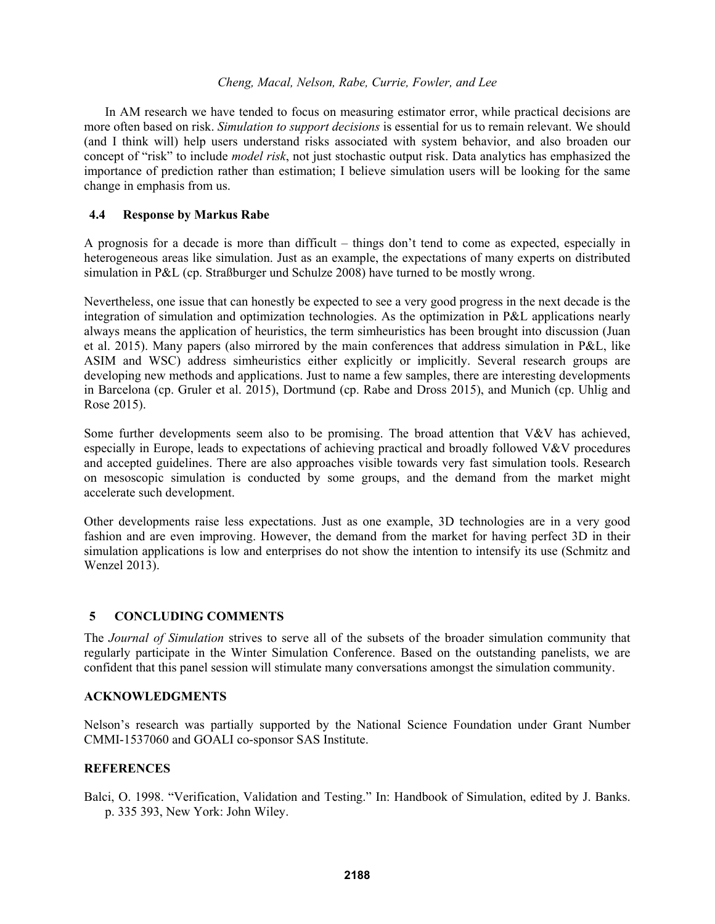## *Cheng, Macal, Nelson, Rabe, Currie, Fowler, and Lee*

 In AM research we have tended to focus on measuring estimator error, while practical decisions are more often based on risk. *Simulation to support decisions* is essential for us to remain relevant. We should (and I think will) help users understand risks associated with system behavior, and also broaden our concept of "risk" to include *model risk*, not just stochastic output risk. Data analytics has emphasized the importance of prediction rather than estimation; I believe simulation users will be looking for the same change in emphasis from us.

## **4.4 Response by Markus Rabe**

A prognosis for a decade is more than difficult – things don't tend to come as expected, especially in heterogeneous areas like simulation. Just as an example, the expectations of many experts on distributed simulation in P&L (cp. Straßburger und Schulze 2008) have turned to be mostly wrong.

Nevertheless, one issue that can honestly be expected to see a very good progress in the next decade is the integration of simulation and optimization technologies. As the optimization in P&L applications nearly always means the application of heuristics, the term simheuristics has been brought into discussion (Juan et al. 2015). Many papers (also mirrored by the main conferences that address simulation in P&L, like ASIM and WSC) address simheuristics either explicitly or implicitly. Several research groups are developing new methods and applications. Just to name a few samples, there are interesting developments in Barcelona (cp. Gruler et al. 2015), Dortmund (cp. Rabe and Dross 2015), and Munich (cp. Uhlig and Rose 2015).

Some further developments seem also to be promising. The broad attention that V&V has achieved, especially in Europe, leads to expectations of achieving practical and broadly followed V&V procedures and accepted guidelines. There are also approaches visible towards very fast simulation tools. Research on mesoscopic simulation is conducted by some groups, and the demand from the market might accelerate such development.

Other developments raise less expectations. Just as one example, 3D technologies are in a very good fashion and are even improving. However, the demand from the market for having perfect 3D in their simulation applications is low and enterprises do not show the intention to intensify its use (Schmitz and Wenzel 2013).

# **5 CONCLUDING COMMENTS**

The *Journal of Simulation* strives to serve all of the subsets of the broader simulation community that regularly participate in the Winter Simulation Conference. Based on the outstanding panelists, we are confident that this panel session will stimulate many conversations amongst the simulation community.

# **ACKNOWLEDGMENTS**

Nelson's research was partially supported by the National Science Foundation under Grant Number CMMI-1537060 and GOALI co-sponsor SAS Institute.

### **REFERENCES**

Balci, O. 1998. "Verification, Validation and Testing." In: Handbook of Simulation, edited by J. Banks. p. 335 393, New York: John Wiley.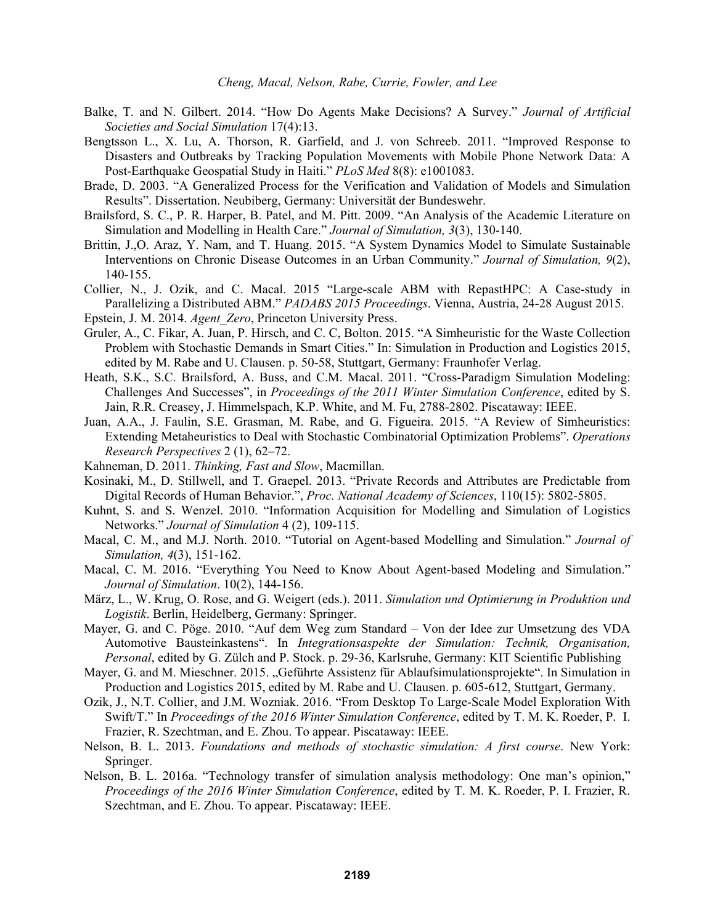- Balke, T. and N. Gilbert. 2014. "How Do Agents Make Decisions? A Survey." *Journal of Artificial Societies and Social Simulation* 17(4):13.
- Bengtsson L., X. Lu, A. Thorson, R. Garfield, and J. von Schreeb. 2011. "Improved Response to Disasters and Outbreaks by Tracking Population Movements with Mobile Phone Network Data: A Post-Earthquake Geospatial Study in Haiti." *PLoS Med* 8(8): e1001083.
- Brade, D. 2003. "A Generalized Process for the Verification and Validation of Models and Simulation Results". Dissertation. Neubiberg, Germany: Universität der Bundeswehr.
- Brailsford, S. C., P. R. Harper, B. Patel, and M. Pitt. 2009. "An Analysis of the Academic Literature on Simulation and Modelling in Health Care." *Journal of Simulation, 3*(3), 130-140.
- Brittin, J.,O. Araz, Y. Nam, and T. Huang. 2015. "A System Dynamics Model to Simulate Sustainable Interventions on Chronic Disease Outcomes in an Urban Community." *Journal of Simulation, 9*(2), 140-155.
- Collier, N., J. Ozik, and C. Macal. 2015 "Large-scale ABM with RepastHPC: A Case-study in Parallelizing a Distributed ABM." *PADABS 2015 Proceedings*. Vienna, Austria, 24-28 August 2015.
- Epstein, J. M. 2014. *Agent\_Zero*, Princeton University Press.
- Gruler, A., C. Fikar, A. Juan, P. Hirsch, and C. C, Bolton. 2015. "A Simheuristic for the Waste Collection Problem with Stochastic Demands in Smart Cities." In: Simulation in Production and Logistics 2015, edited by M. Rabe and U. Clausen. p. 50-58, Stuttgart, Germany: Fraunhofer Verlag.
- Heath, S.K., S.C. Brailsford, A. Buss, and C.M. Macal. 2011. "Cross-Paradigm Simulation Modeling: Challenges And Successes", in *Proceedings of the 2011 Winter Simulation Conference*, edited by S. Jain, R.R. Creasey, J. Himmelspach, K.P. White, and M. Fu, 2788-2802. Piscataway: IEEE.
- Juan, A.A., J. Faulin, S.E. Grasman, M. Rabe, and G. Figueira. 2015. "A Review of Simheuristics: Extending Metaheuristics to Deal with Stochastic Combinatorial Optimization Problems". *Operations Research Perspectives* 2 (1), 62–72.
- Kahneman, D. 2011. *Thinking, Fast and Slow*, Macmillan.
- Kosinaki, M., D. Stillwell, and T. Graepel. 2013. "Private Records and Attributes are Predictable from Digital Records of Human Behavior.", *Proc. National Academy of Sciences*, 110(15): 5802-5805.
- Kuhnt, S. and S. Wenzel. 2010. "Information Acquisition for Modelling and Simulation of Logistics Networks." *Journal of Simulation* 4 (2), 109-115.
- Macal, C. M., and M.J. North. 2010. "Tutorial on Agent-based Modelling and Simulation." *Journal of Simulation, 4*(3), 151-162.
- Macal, C. M. 2016. "Everything You Need to Know About Agent-based Modeling and Simulation." *Journal of Simulation*. 10(2), 144-156.
- März, L., W. Krug, O. Rose, and G. Weigert (eds.). 2011. *Simulation und Optimierung in Produktion und Logistik*. Berlin, Heidelberg, Germany: Springer.
- Mayer, G. and C. Pöge. 2010. "Auf dem Weg zum Standard Von der Idee zur Umsetzung des VDA Automotive Bausteinkastens". In *Integrationsaspekte der Simulation: Technik, Organisation, Personal*, edited by G. Zülch and P. Stock. p. 29-36, Karlsruhe, Germany: KIT Scientific Publishing
- Mayer, G. and M. Mieschner. 2015. "Geführte Assistenz für Ablaufsimulationsprojekte". In Simulation in Production and Logistics 2015, edited by M. Rabe and U. Clausen. p. 605-612, Stuttgart, Germany.
- Ozik, J., N.T. Collier, and J.M. Wozniak. 2016. "From Desktop To Large-Scale Model Exploration With Swift/T." In *Proceedings of the 2016 Winter Simulation Conference*, edited by T. M. K. Roeder, P. I. Frazier, R. Szechtman, and E. Zhou. To appear. Piscataway: IEEE.
- Nelson, B. L. 2013. *Foundations and methods of stochastic simulation: A first course*. New York: Springer.
- Nelson, B. L. 2016a. "Technology transfer of simulation analysis methodology: One man's opinion," *Proceedings of the 2016 Winter Simulation Conference*, edited by T. M. K. Roeder, P. I. Frazier, R. Szechtman, and E. Zhou. To appear. Piscataway: IEEE.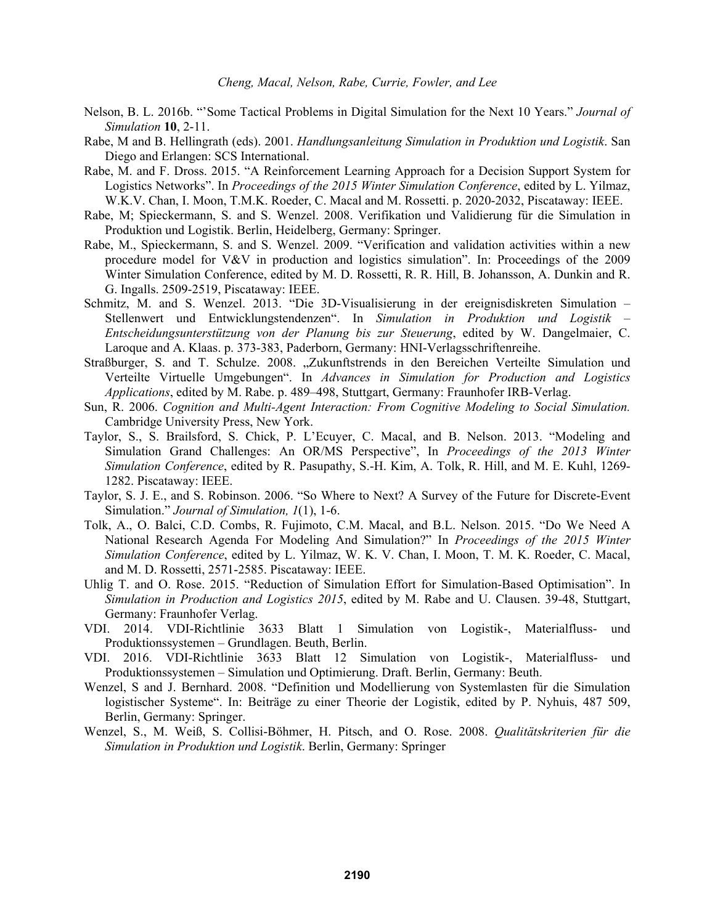- Nelson, B. L. 2016b. "'Some Tactical Problems in Digital Simulation for the Next 10 Years." *Journal of Simulation* **10**, 2-11.
- Rabe, M and B. Hellingrath (eds). 2001. *Handlungsanleitung Simulation in Produktion und Logistik*. San Diego and Erlangen: SCS International.
- Rabe, M. and F. Dross. 2015. "A Reinforcement Learning Approach for a Decision Support System for Logistics Networks". In *Proceedings of the 2015 Winter Simulation Conference*, edited by L. Yilmaz, W.K.V. Chan, I. Moon, T.M.K. Roeder, C. Macal and M. Rossetti. p. 2020-2032, Piscataway: IEEE.
- Rabe, M; Spieckermann, S. and S. Wenzel. 2008. Verifikation und Validierung für die Simulation in Produktion und Logistik. Berlin, Heidelberg, Germany: Springer.
- Rabe, M., Spieckermann, S. and S. Wenzel. 2009. "Verification and validation activities within a new procedure model for V&V in production and logistics simulation". In: Proceedings of the 2009 Winter Simulation Conference, edited by M. D. Rossetti, R. R. Hill, B. Johansson, A. Dunkin and R. G. Ingalls. 2509-2519, Piscataway: IEEE.
- Schmitz, M. and S. Wenzel. 2013. "Die 3D-Visualisierung in der ereignisdiskreten Simulation Stellenwert und Entwicklungstendenzen". In *Simulation in Produktion und Logistik – Entscheidungsunterstützung von der Planung bis zur Steuerung*, edited by W. Dangelmaier, C. Laroque and A. Klaas. p. 373-383, Paderborn, Germany: HNI-Verlagsschriftenreihe.
- Straßburger, S. and T. Schulze. 2008. "Zukunftstrends in den Bereichen Verteilte Simulation und Verteilte Virtuelle Umgebungen". In *Advances in Simulation for Production and Logistics Applications*, edited by M. Rabe. p. 489–498, Stuttgart, Germany: Fraunhofer IRB-Verlag.
- Sun, R. 2006. *Cognition and Multi-Agent Interaction: From Cognitive Modeling to Social Simulation.* Cambridge University Press, New York.
- Taylor, S., S. Brailsford, S. Chick, P. L'Ecuyer, C. Macal, and B. Nelson. 2013. "Modeling and Simulation Grand Challenges: An OR/MS Perspective", In *Proceedings of the 2013 Winter Simulation Conference*, edited by R. Pasupathy, S.-H. Kim, A. Tolk, R. Hill, and M. E. Kuhl, 1269- 1282. Piscataway: IEEE.
- Taylor, S. J. E., and S. Robinson. 2006. "So Where to Next? A Survey of the Future for Discrete-Event Simulation." *Journal of Simulation, 1*(1), 1-6.
- Tolk, A., O. Balci, C.D. Combs, R. Fujimoto, C.M. Macal, and B.L. Nelson. 2015. "Do We Need A National Research Agenda For Modeling And Simulation?" In *Proceedings of the 2015 Winter Simulation Conference*, edited by L. Yilmaz, W. K. V. Chan, I. Moon, T. M. K. Roeder, C. Macal, and M. D. Rossetti, 2571-2585. Piscataway: IEEE.
- Uhlig T. and O. Rose. 2015. "Reduction of Simulation Effort for Simulation-Based Optimisation". In *Simulation in Production and Logistics 2015*, edited by M. Rabe and U. Clausen. 39-48, Stuttgart, Germany: Fraunhofer Verlag.
- VDI. 2014. VDI-Richtlinie 3633 Blatt 1 Simulation von Logistik-, Materialfluss- und Produktionssystemen – Grundlagen. Beuth, Berlin.
- VDI. 2016. VDI-Richtlinie 3633 Blatt 12 Simulation von Logistik-, Materialfluss- und Produktionssystemen – Simulation und Optimierung. Draft. Berlin, Germany: Beuth.
- Wenzel, S and J. Bernhard. 2008. "Definition und Modellierung von Systemlasten für die Simulation logistischer Systeme". In: Beiträge zu einer Theorie der Logistik, edited by P. Nyhuis, 487 509, Berlin, Germany: Springer.
- Wenzel, S., M. Weiß, S. Collisi-Böhmer, H. Pitsch, and O. Rose. 2008. *Qualitätskriterien für die Simulation in Produktion und Logistik*. Berlin, Germany: Springer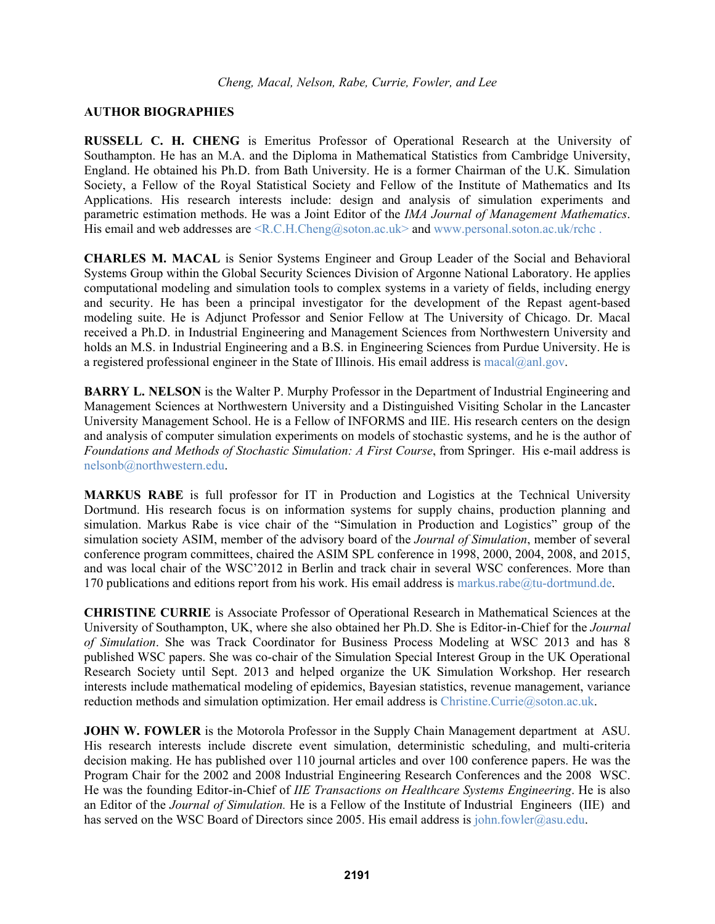# **AUTHOR BIOGRAPHIES**

**RUSSELL C. H. CHENG** is Emeritus Professor of Operational Research at the University of Southampton. He has an M.A. and the Diploma in Mathematical Statistics from Cambridge University, England. He obtained his Ph.D. from Bath University. He is a former Chairman of the U.K. Simulation Society, a Fellow of the Royal Statistical Society and Fellow of the Institute of Mathematics and Its Applications. His research interests include: design and analysis of simulation experiments and parametric estimation methods. He was a Joint Editor of the *IMA Journal of Management Mathematics*. His email and web addresses are <R.C.H.Cheng@soton.ac.uk> and www.personal.soton.ac.uk/rchc.

**CHARLES M. MACAL** is Senior Systems Engineer and Group Leader of the Social and Behavioral Systems Group within the Global Security Sciences Division of Argonne National Laboratory. He applies computational modeling and simulation tools to complex systems in a variety of fields, including energy and security. He has been a principal investigator for the development of the Repast agent-based modeling suite. He is Adjunct Professor and Senior Fellow at The University of Chicago. Dr. Macal received a Ph.D. in Industrial Engineering and Management Sciences from Northwestern University and holds an M.S. in Industrial Engineering and a B.S. in Engineering Sciences from Purdue University. He is a registered professional engineer in the State of Illinois. His email address is macal@anl.gov.

**BARRY L. NELSON** is the Walter P. Murphy Professor in the Department of Industrial Engineering and Management Sciences at Northwestern University and a Distinguished Visiting Scholar in the Lancaster University Management School. He is a Fellow of INFORMS and IIE. His research centers on the design and analysis of computer simulation experiments on models of stochastic systems, and he is the author of *Foundations and Methods of Stochastic Simulation: A First Course*, from Springer. His e-mail address is nelsonb@northwestern.edu.

**MARKUS RABE** is full professor for IT in Production and Logistics at the Technical University Dortmund. His research focus is on information systems for supply chains, production planning and simulation. Markus Rabe is vice chair of the "Simulation in Production and Logistics" group of the simulation society ASIM, member of the advisory board of the *Journal of Simulation*, member of several conference program committees, chaired the ASIM SPL conference in 1998, 2000, 2004, 2008, and 2015, and was local chair of the WSC'2012 in Berlin and track chair in several WSC conferences. More than 170 publications and editions report from his work. His email address is markus.rabe@tu-dortmund.de.

**CHRISTINE CURRIE** is Associate Professor of Operational Research in Mathematical Sciences at the University of Southampton, UK, where she also obtained her Ph.D. She is Editor-in-Chief for the *Journal of Simulation*. She was Track Coordinator for Business Process Modeling at WSC 2013 and has 8 published WSC papers. She was co-chair of the Simulation Special Interest Group in the UK Operational Research Society until Sept. 2013 and helped organize the UK Simulation Workshop. Her research interests include mathematical modeling of epidemics, Bayesian statistics, revenue management, variance reduction methods and simulation optimization. Her email address is Christine.Currie@soton.ac.uk.

**JOHN W. FOWLER** is the Motorola Professor in the Supply Chain Management department at ASU. His research interests include discrete event simulation, deterministic scheduling, and multi-criteria decision making. He has published over 110 journal articles and over 100 conference papers. He was the Program Chair for the 2002 and 2008 Industrial Engineering Research Conferences and the 2008 WSC. He was the founding Editor-in-Chief of *IIE Transactions on Healthcare Systems Engineering*. He is also an Editor of the *Journal of Simulation.* He is a Fellow of the Institute of Industrial Engineers (IIE) and has served on the WSC Board of Directors since 2005. His email address is john.fowler@asu.edu.